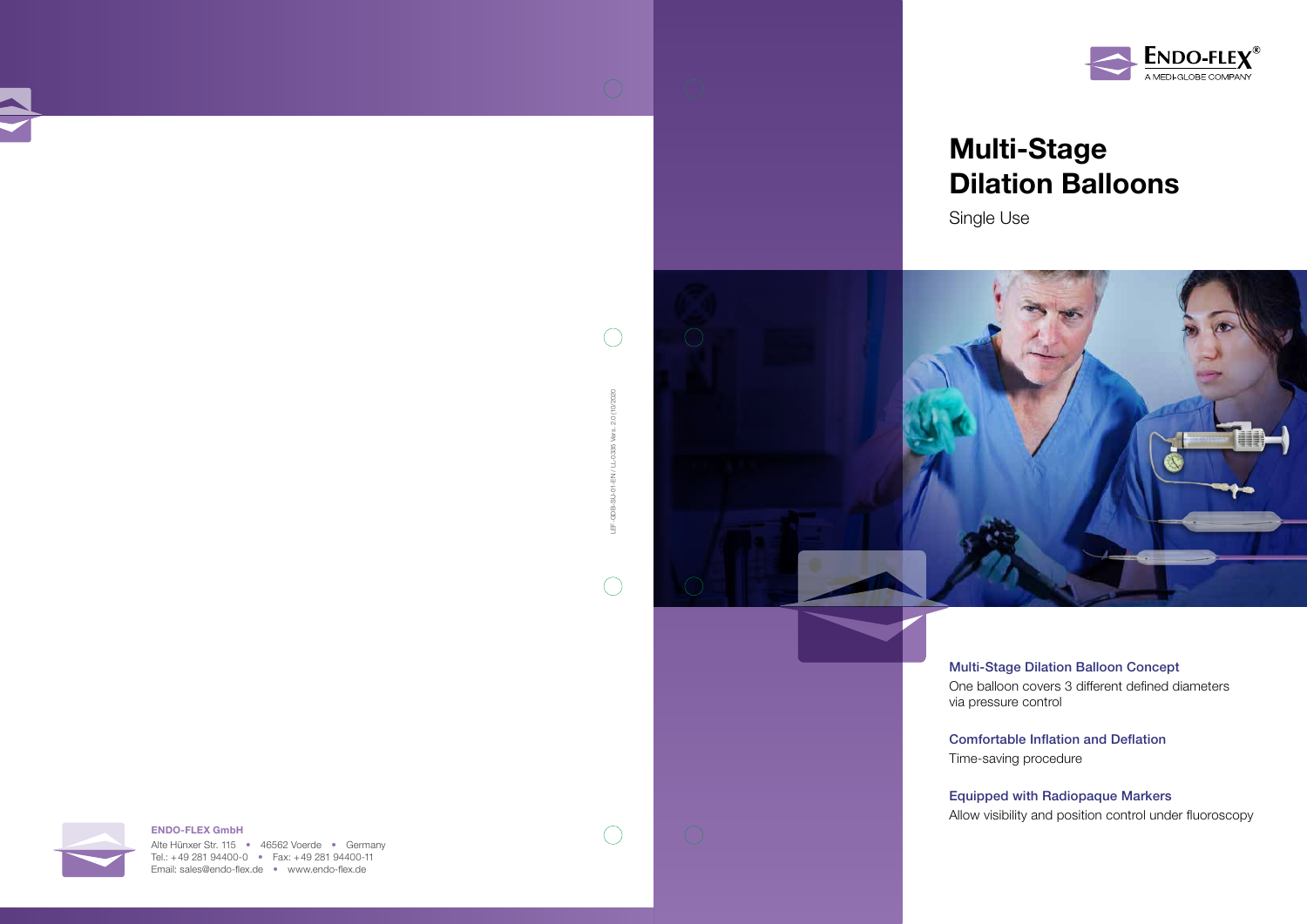# Multi-Stage Dilation Balloons

Single Use



### Multi-Stage Dilation Balloon Concept

One balloon covers 3 different defined diameters via pressure control

### Comfortable Inflation and Deflation

Time-saving procedure

Alte Hünxer Str. 115 • 46562 Voerde • Germany Tel.: +49 281 94400-0 • Fax: +49 281 94400-11 Email: sales@endo-flex.de • www.endo-flex.de

### Equipped with Radiopaque Markers



Allow visibility and position control under fluoroscopy







LEF-GDB-SU-01-EN / LL-0335 Vers. 2.0 (10/2020

 $\bigcap$ 

 $\bigcirc$ 

0335 **EN/L-** $\overline{Q}$  $\overline{\sigma}$ GDB-茑

2.0 (10/2020

 $\bigcap$